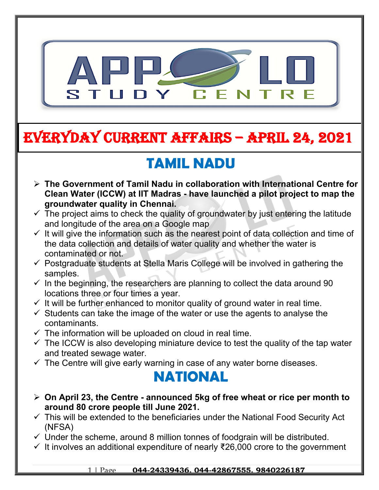

# **EVERYDAY CURRENT AFFAIRS – APRIL 24, 2021**

# **TAMIL NADU**

- **The Government of Tamil Nadu in collaboration with International Centre for Clean Water (ICCW) at IIT Madras - have launched a pilot project to map the groundwater quality in Chennai.**
- $\checkmark$  The project aims to check the quality of groundwater by just entering the latitude and longitude of the area on a Google map
- $\checkmark$  It will give the information such as the nearest point of data collection and time of the data collection and details of water quality and whether the water is contaminated or not.
- $\checkmark$  Postgraduate students at Stella Maris College will be involved in gathering the samples.
- $\checkmark$  In the beginning, the researchers are planning to collect the data around 90 locations three or four times a year.
- $\checkmark$  It will be further enhanced to monitor quality of ground water in real time.
- $\checkmark$  Students can take the image of the water or use the agents to analyse the contaminants.
- $\checkmark$  The information will be uploaded on cloud in real time.

**-**

- $\checkmark$  The ICCW is also developing miniature device to test the quality of the tap water and treated sewage water.
- $\checkmark$  The Centre will give early warning in case of any water borne diseases.

### **NATIONAL**

- **On April 23, the Centre announced 5kg of free wheat or rice per month to around 80 crore people till June 2021.**
- $\checkmark$  This will be extended to the beneficiaries under the National Food Security Act (NFSA)
- $\checkmark$  Under the scheme, around 8 million tonnes of foodgrain will be distributed.
- $\checkmark$  It involves an additional expenditure of nearly ₹26,000 crore to the government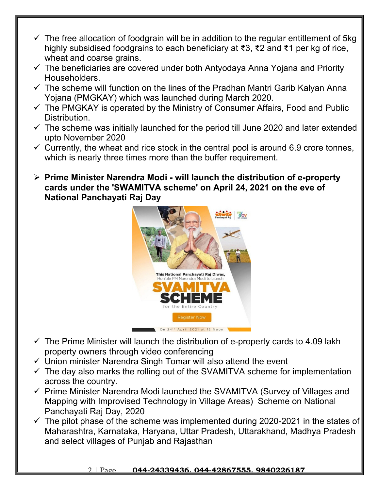- $\checkmark$  The free allocation of foodgrain will be in addition to the regular entitlement of 5kg highly subsidised foodgrains to each beneficiary at ₹3, ₹2 and ₹1 per kg of rice, wheat and coarse grains.
- $\checkmark$  The beneficiaries are covered under both Antyodaya Anna Yojana and Priority Householders.
- $\checkmark$  The scheme will function on the lines of the Pradhan Mantri Garib Kalyan Anna Yojana (PMGKAY) which was launched during March 2020.
- $\checkmark$  The PMGKAY is operated by the Ministry of Consumer Affairs, Food and Public Distribution.
- $\checkmark$  The scheme was initially launched for the period till June 2020 and later extended upto November 2020
- $\checkmark$  Currently, the wheat and rice stock in the central pool is around 6.9 crore tonnes, which is nearly three times more than the buffer requirement.
- **Prime Minister Narendra Modi will launch the distribution of e-property cards under the 'SWAMITVA scheme' on April 24, 2021 on the eve of National Panchayati Raj Day**



- $\checkmark$  The Prime Minister will launch the distribution of e-property cards to 4.09 lakh property owners through video conferencing
- $\checkmark$  Union minister Narendra Singh Tomar will also attend the event
- $\checkmark$  The day also marks the rolling out of the SVAMITVA scheme for implementation across the country.
- $\checkmark$  Prime Minister Narendra Modi launched the SVAMITVA (Survey of Villages and Mapping with Improvised Technology in Village Areas) Scheme on National Panchayati Raj Day, 2020
- $\checkmark$  The pilot phase of the scheme was implemented during 2020-2021 in the states of Maharashtra, Karnataka, Haryana, Uttar Pradesh, Uttarakhand, Madhya Pradesh and select villages of Punjab and Rajasthan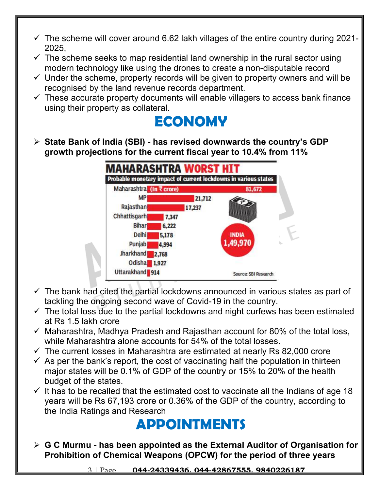- $\checkmark$  The scheme will cover around 6.62 lakh villages of the entire country during 2021-2025,
- $\checkmark$  The scheme seeks to map residential land ownership in the rural sector using modern technology like using the drones to create a non-disputable record
- $\checkmark$  Under the scheme, property records will be given to property owners and will be recognised by the land revenue records department.
- $\checkmark$  These accurate property documents will enable villagers to access bank finance using their property as collateral.



 **State Bank of India (SBI) - has revised downwards the country's GDP growth projections for the current fiscal year to 10.4% from 11%**



- $\checkmark$  The bank had cited the partial lockdowns announced in various states as part of tackling the ongoing second wave of Covid-19 in the country.
- $\checkmark$  The total loss due to the partial lockdowns and night curfews has been estimated at Rs 1.5 lakh crore
- $\checkmark$  Maharashtra, Madhva Pradesh and Rajasthan account for 80% of the total loss, while Maharashtra alone accounts for 54% of the total losses.
- $\checkmark$  The current losses in Maharashtra are estimated at nearly Rs 82,000 crore
- $\checkmark$  As per the bank's report, the cost of vaccinating half the population in thirteen major states will be 0.1% of GDP of the country or 15% to 20% of the health budget of the states.
- $\checkmark$  It has to be recalled that the estimated cost to vaccinate all the Indians of age 18 years will be Rs 67,193 crore or 0.36% of the GDP of the country, according to the India Ratings and Research

## **APPOINTMENTS**

 **G C Murmu - has been appointed as the External Auditor of Organisation for Prohibition of Chemical Weapons (OPCW) for the period of three years**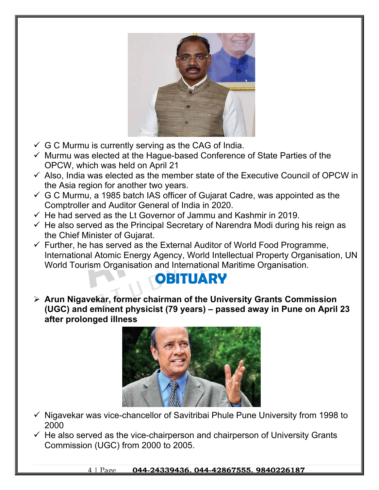

- $\checkmark$  G C Murmu is currently serving as the CAG of India.
- $\checkmark$  Murmu was elected at the Hague-based Conference of State Parties of the OPCW, which was held on April 21
- $\checkmark$  Also, India was elected as the member state of the Executive Council of OPCW in the Asia region for another two years.
- $\checkmark$  G C Murmu, a 1985 batch IAS officer of Gujarat Cadre, was appointed as the Comptroller and Auditor General of India in 2020.
- $\checkmark$  He had served as the Lt Governor of Jammu and Kashmir in 2019.
- $\checkmark$  He also served as the Principal Secretary of Narendra Modi during his reign as the Chief Minister of Gujarat.
- $\checkmark$  Further, he has served as the External Auditor of World Food Programme, International Atomic Energy Agency, World Intellectual Property Organisation, UN World Tourism Organisation and International Maritime Organisation.

## **OBITUARY**

 **Arun Nigavekar, former chairman of the University Grants Commission (UGC) and eminent physicist (79 years) – passed away in Pune on April 23 after prolonged illness**



- $\checkmark$  Nigavekar was vice-chancellor of Savitribai Phule Pune University from 1998 to 2000
- $\checkmark$  He also served as the vice-chairperson and chairperson of University Grants Commission (UGC) from 2000 to 2005.

4 | Page **044-24339436, 044-42867555, 9840226187**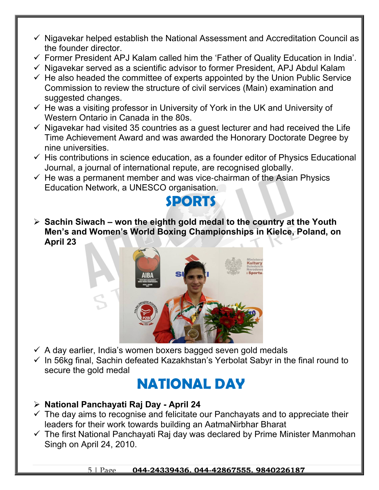- $\checkmark$  Nigavekar helped establish the National Assessment and Accreditation Council as the founder director.
- $\checkmark$  Former President APJ Kalam called him the 'Father of Quality Education in India'.
- $\checkmark$  Nigavekar served as a scientific advisor to former President, APJ Abdul Kalam
- $\checkmark$  He also headed the committee of experts appointed by the Union Public Service Commission to review the structure of civil services (Main) examination and suggested changes.
- $\checkmark$  He was a visiting professor in University of York in the UK and University of Western Ontario in Canada in the 80s.
- $\checkmark$  Nigavekar had visited 35 countries as a quest lecturer and had received the Life Time Achievement Award and was awarded the Honorary Doctorate Degree by nine universities.
- $\checkmark$  His contributions in science education, as a founder editor of Physics Educational Journal, a journal of international repute, are recognised globally.
- $\checkmark$  He was a permanent member and was vice-chairman of the Asian Physics Education Network, a UNESCO organisation.



 **Sachin Siwach – won the eighth gold medal to the country at the Youth Men's and Women's World Boxing Championships in Kielce, Poland, on April 23**



- $\checkmark$  A day earlier, India's women boxers bagged seven gold medals
- $\checkmark$  In 56kg final, Sachin defeated Kazakhstan's Yerbolat Sabyr in the final round to secure the gold medal

### **NATIONAL DAY**

- **National Panchayati Raj Day April 24**
- $\checkmark$  The day aims to recognise and felicitate our Panchayats and to appreciate their leaders for their work towards building an AatmaNirbhar Bharat
- $\checkmark$  The first National Panchayati Raj day was declared by Prime Minister Manmohan Singh on April 24, 2010.

#### 5 | Page **044-24339436, 044-42867555, 9840226187**